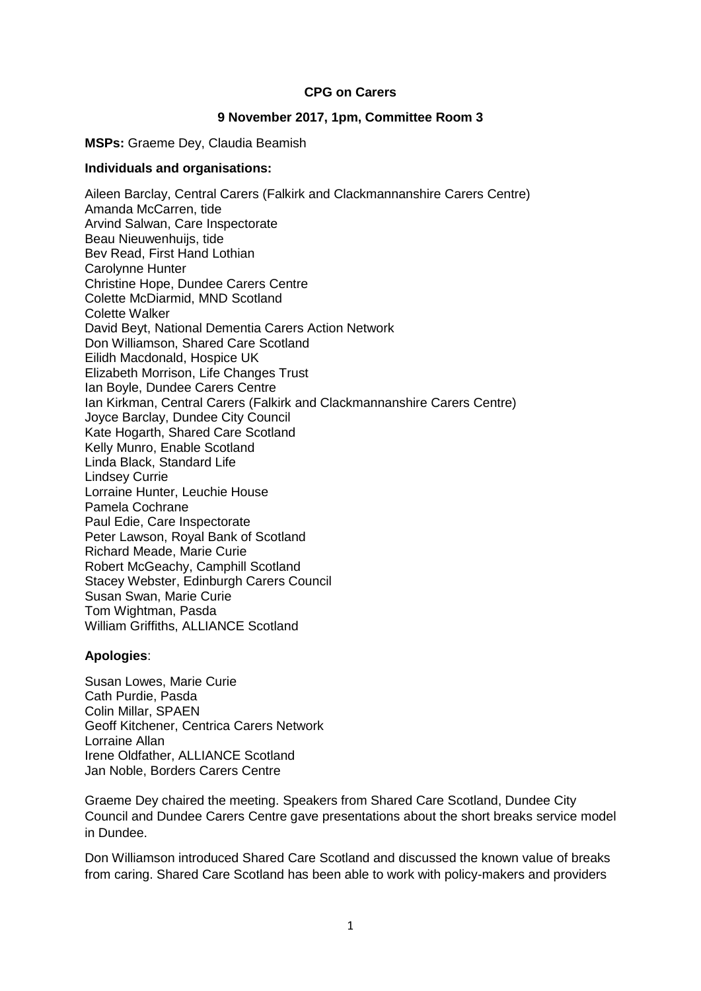### **CPG on Carers**

### **9 November 2017, 1pm, Committee Room 3**

**MSPs:** Graeme Dey, Claudia Beamish

#### **Individuals and organisations:**

Aileen Barclay, Central Carers (Falkirk and Clackmannanshire Carers Centre) Amanda McCarren, tide Arvind Salwan, Care Inspectorate Beau Nieuwenhuijs, tide Bev Read, First Hand Lothian Carolynne Hunter Christine Hope, Dundee Carers Centre Colette McDiarmid, MND Scotland Colette Walker David Beyt, National Dementia Carers Action Network Don Williamson, Shared Care Scotland Eilidh Macdonald, Hospice UK Elizabeth Morrison, Life Changes Trust Ian Boyle, Dundee Carers Centre Ian Kirkman, Central Carers (Falkirk and Clackmannanshire Carers Centre) Joyce Barclay, Dundee City Council Kate Hogarth, Shared Care Scotland Kelly Munro, Enable Scotland Linda Black, Standard Life Lindsey Currie Lorraine Hunter, Leuchie House Pamela Cochrane Paul Edie, Care Inspectorate Peter Lawson, Royal Bank of Scotland Richard Meade, Marie Curie Robert McGeachy, Camphill Scotland Stacey Webster, Edinburgh Carers Council Susan Swan, Marie Curie Tom Wightman, Pasda William Griffiths, ALLIANCE Scotland

#### **Apologies**:

Susan Lowes, Marie Curie Cath Purdie, Pasda Colin Millar, SPAEN Geoff Kitchener, Centrica Carers Network Lorraine Allan Irene Oldfather, ALLIANCE Scotland Jan Noble, Borders Carers Centre

Graeme Dey chaired the meeting. Speakers from Shared Care Scotland, Dundee City Council and Dundee Carers Centre gave presentations about the short breaks service model in Dundee.

Don Williamson introduced Shared Care Scotland and discussed the known value of breaks from caring. Shared Care Scotland has been able to work with policy-makers and providers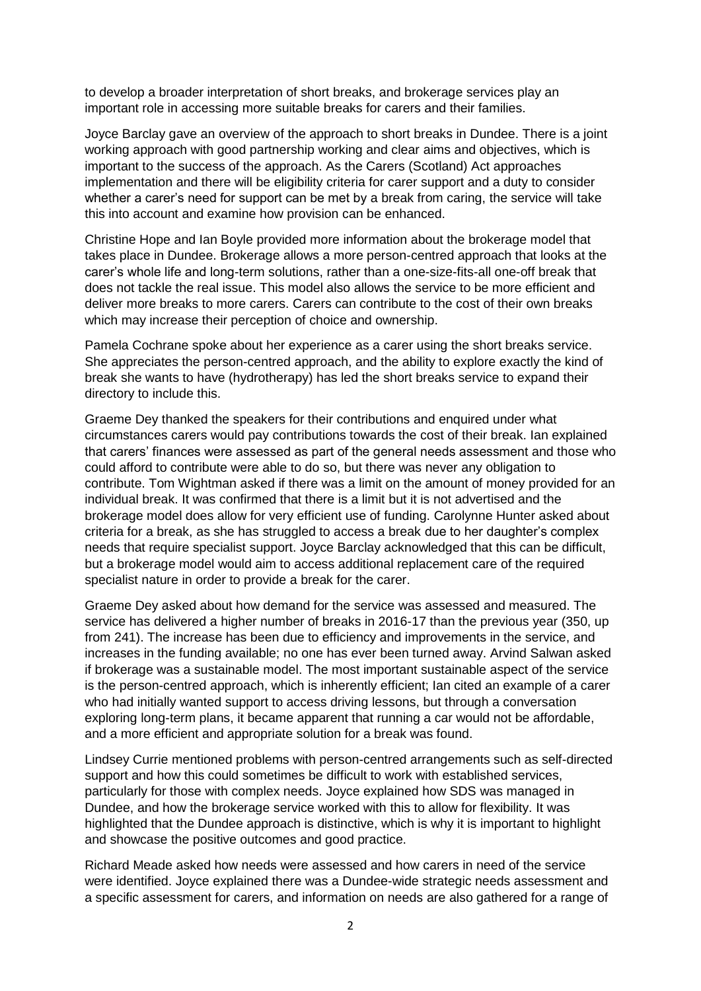to develop a broader interpretation of short breaks, and brokerage services play an important role in accessing more suitable breaks for carers and their families.

Joyce Barclay gave an overview of the approach to short breaks in Dundee. There is a joint working approach with good partnership working and clear aims and objectives, which is important to the success of the approach. As the Carers (Scotland) Act approaches implementation and there will be eligibility criteria for carer support and a duty to consider whether a carer's need for support can be met by a break from caring, the service will take this into account and examine how provision can be enhanced.

Christine Hope and Ian Boyle provided more information about the brokerage model that takes place in Dundee. Brokerage allows a more person-centred approach that looks at the carer's whole life and long-term solutions, rather than a one-size-fits-all one-off break that does not tackle the real issue. This model also allows the service to be more efficient and deliver more breaks to more carers. Carers can contribute to the cost of their own breaks which may increase their perception of choice and ownership.

Pamela Cochrane spoke about her experience as a carer using the short breaks service. She appreciates the person-centred approach, and the ability to explore exactly the kind of break she wants to have (hydrotherapy) has led the short breaks service to expand their directory to include this.

Graeme Dey thanked the speakers for their contributions and enquired under what circumstances carers would pay contributions towards the cost of their break. Ian explained that carers' finances were assessed as part of the general needs assessment and those who could afford to contribute were able to do so, but there was never any obligation to contribute. Tom Wightman asked if there was a limit on the amount of money provided for an individual break. It was confirmed that there is a limit but it is not advertised and the brokerage model does allow for very efficient use of funding. Carolynne Hunter asked about criteria for a break, as she has struggled to access a break due to her daughter's complex needs that require specialist support. Joyce Barclay acknowledged that this can be difficult, but a brokerage model would aim to access additional replacement care of the required specialist nature in order to provide a break for the carer.

Graeme Dey asked about how demand for the service was assessed and measured. The service has delivered a higher number of breaks in 2016-17 than the previous year (350, up from 241). The increase has been due to efficiency and improvements in the service, and increases in the funding available; no one has ever been turned away. Arvind Salwan asked if brokerage was a sustainable model. The most important sustainable aspect of the service is the person-centred approach, which is inherently efficient; Ian cited an example of a carer who had initially wanted support to access driving lessons, but through a conversation exploring long-term plans, it became apparent that running a car would not be affordable, and a more efficient and appropriate solution for a break was found.

Lindsey Currie mentioned problems with person-centred arrangements such as self-directed support and how this could sometimes be difficult to work with established services, particularly for those with complex needs. Joyce explained how SDS was managed in Dundee, and how the brokerage service worked with this to allow for flexibility. It was highlighted that the Dundee approach is distinctive, which is why it is important to highlight and showcase the positive outcomes and good practice.

Richard Meade asked how needs were assessed and how carers in need of the service were identified. Joyce explained there was a Dundee-wide strategic needs assessment and a specific assessment for carers, and information on needs are also gathered for a range of